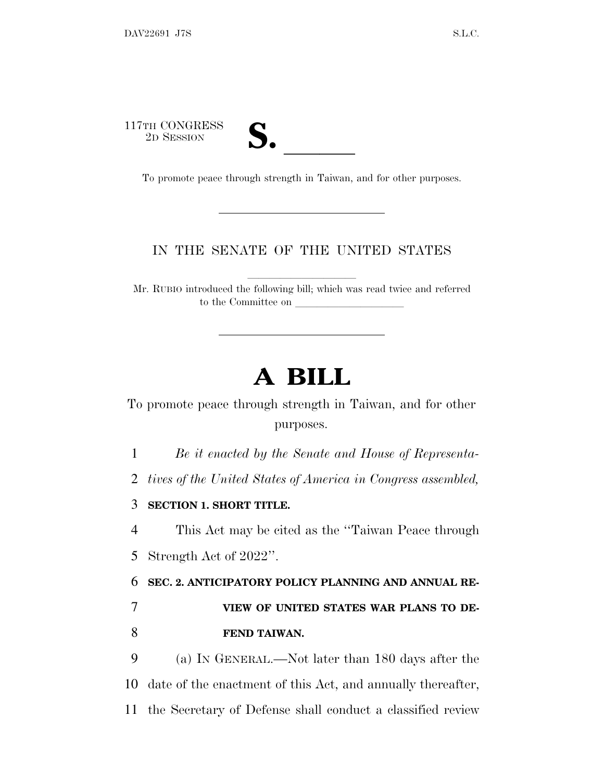117TH CONGRESS



TH CONGRESS<br>
2D SESSION<br>
To promote peace through strength in Taiwan, and for other purposes.

#### IN THE SENATE OF THE UNITED STATES

Mr. RUBIO introduced the following bill; which was read twice and referred to the Committee on

# **A BILL**

To promote peace through strength in Taiwan, and for other purposes.

1 *Be it enacted by the Senate and House of Representa-*

2 *tives of the United States of America in Congress assembled,*

3 **SECTION 1. SHORT TITLE.**

4 This Act may be cited as the ''Taiwan Peace through 5 Strength Act of 2022''.

6 **SEC. 2. ANTICIPATORY POLICY PLANNING AND ANNUAL RE-**

7 **VIEW OF UNITED STATES WAR PLANS TO DE-**8 **FEND TAIWAN.**

9 (a) I<sup>N</sup> GENERAL.—Not later than 180 days after the 10 date of the enactment of this Act, and annually thereafter, 11 the Secretary of Defense shall conduct a classified review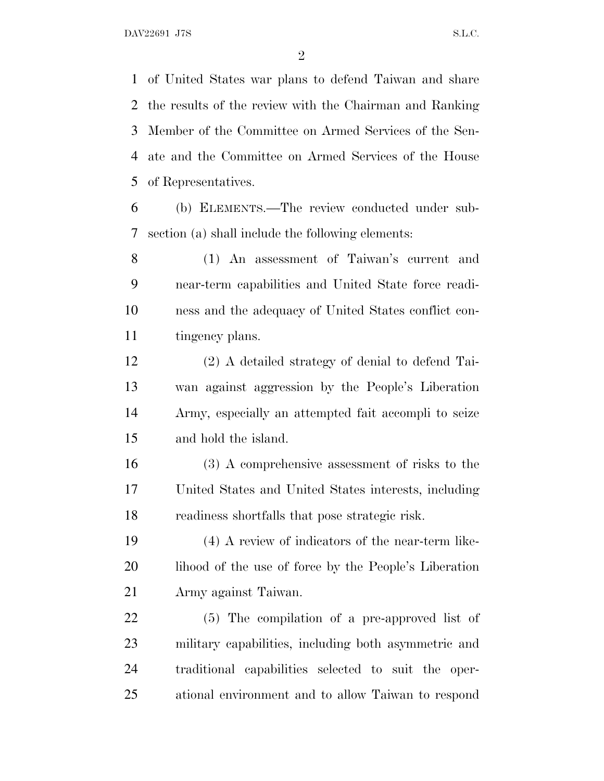of United States war plans to defend Taiwan and share the results of the review with the Chairman and Ranking Member of the Committee on Armed Services of the Sen- ate and the Committee on Armed Services of the House of Representatives.

 (b) ELEMENTS.—The review conducted under sub-section (a) shall include the following elements:

 (1) An assessment of Taiwan's current and near-term capabilities and United State force readi- ness and the adequacy of United States conflict con-tingency plans.

 (2) A detailed strategy of denial to defend Tai- wan against aggression by the People's Liberation Army, especially an attempted fait accompli to seize and hold the island.

 (3) A comprehensive assessment of risks to the United States and United States interests, including readiness shortfalls that pose strategic risk.

 (4) A review of indicators of the near-term like-20 lihood of the use of force by the People's Liberation Army against Taiwan.

 (5) The compilation of a pre-approved list of military capabilities, including both asymmetric and traditional capabilities selected to suit the oper-ational environment and to allow Taiwan to respond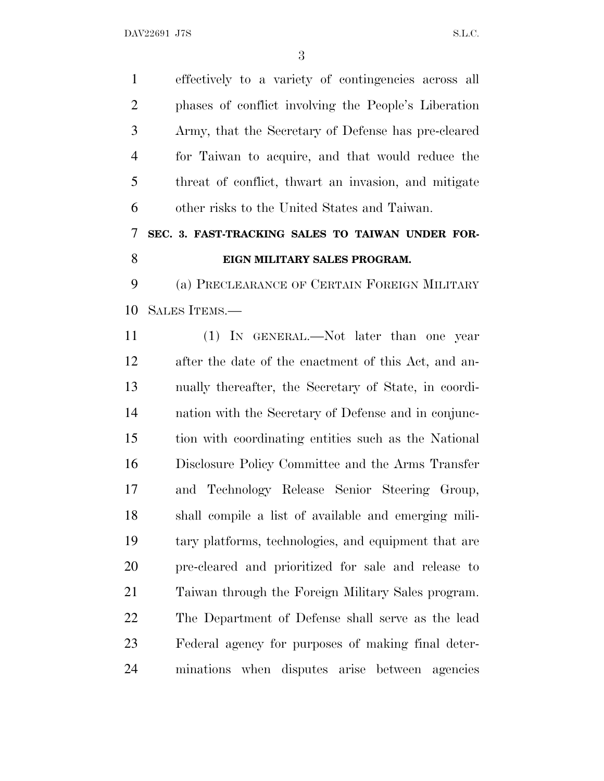effectively to a variety of contingencies across all phases of conflict involving the People's Liberation Army, that the Secretary of Defense has pre-cleared for Taiwan to acquire, and that would reduce the threat of conflict, thwart an invasion, and mitigate other risks to the United States and Taiwan.

### **SEC. 3. FAST-TRACKING SALES TO TAIWAN UNDER FOR-EIGN MILITARY SALES PROGRAM.**

 (a) PRECLEARANCE OF CERTAIN FOREIGN MILITARY SALES ITEMS.—

 (1) IN GENERAL.—Not later than one year after the date of the enactment of this Act, and an- nually thereafter, the Secretary of State, in coordi- nation with the Secretary of Defense and in conjunc- tion with coordinating entities such as the National Disclosure Policy Committee and the Arms Transfer and Technology Release Senior Steering Group, shall compile a list of available and emerging mili- tary platforms, technologies, and equipment that are pre-cleared and prioritized for sale and release to Taiwan through the Foreign Military Sales program. The Department of Defense shall serve as the lead Federal agency for purposes of making final deter-minations when disputes arise between agencies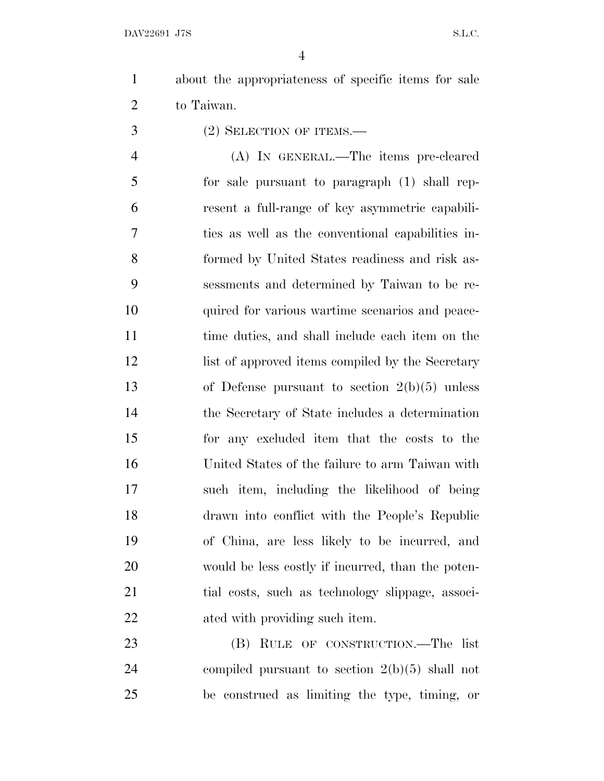- about the appropriateness of specific items for sale to Taiwan.
- (2) SELECTION OF ITEMS.—

 (A) IN GENERAL.—The items pre-cleared for sale pursuant to paragraph (1) shall rep- resent a full-range of key asymmetric capabili- ties as well as the conventional capabilities in- formed by United States readiness and risk as- sessments and determined by Taiwan to be re- quired for various wartime scenarios and peace- time duties, and shall include each item on the 12 list of approved items compiled by the Secretary of Defense pursuant to section 2(b)(5) unless the Secretary of State includes a determination for any excluded item that the costs to the United States of the failure to arm Taiwan with such item, including the likelihood of being drawn into conflict with the People's Republic of China, are less likely to be incurred, and would be less costly if incurred, than the poten-21 tial costs, such as technology slippage, associ-ated with providing such item.

 (B) RULE OF CONSTRUCTION.—The list compiled pursuant to section 2(b)(5) shall not be construed as limiting the type, timing, or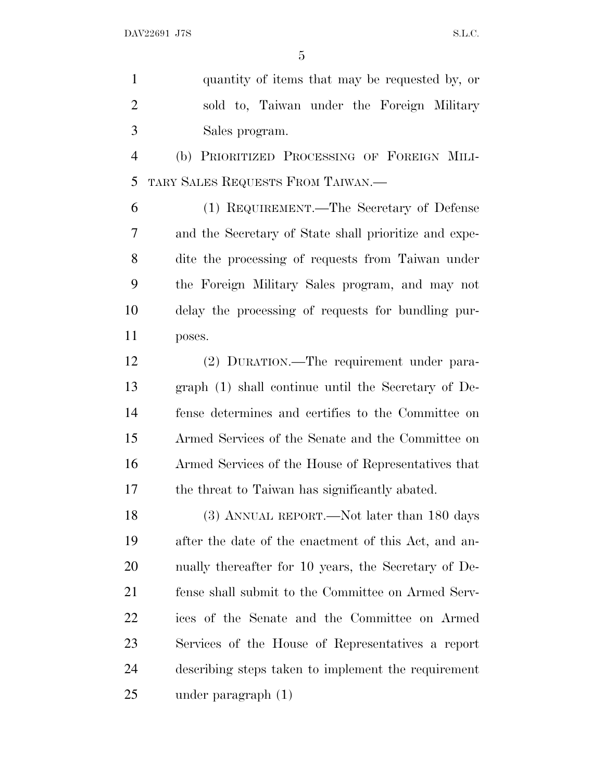quantity of items that may be requested by, or sold to, Taiwan under the Foreign Military Sales program.

 (b) PRIORITIZED PROCESSING OF FOREIGN MILI-TARY SALES REQUESTS FROM TAIWAN.—

 (1) REQUIREMENT.—The Secretary of Defense and the Secretary of State shall prioritize and expe- dite the processing of requests from Taiwan under the Foreign Military Sales program, and may not delay the processing of requests for bundling pur-poses.

 (2) DURATION.—The requirement under para- graph (1) shall continue until the Secretary of De- fense determines and certifies to the Committee on Armed Services of the Senate and the Committee on Armed Services of the House of Representatives that the threat to Taiwan has significantly abated.

18 (3) ANNUAL REPORT.—Not later than 180 days after the date of the enactment of this Act, and an- nually thereafter for 10 years, the Secretary of De- fense shall submit to the Committee on Armed Serv- ices of the Senate and the Committee on Armed Services of the House of Representatives a report describing steps taken to implement the requirement under paragraph (1)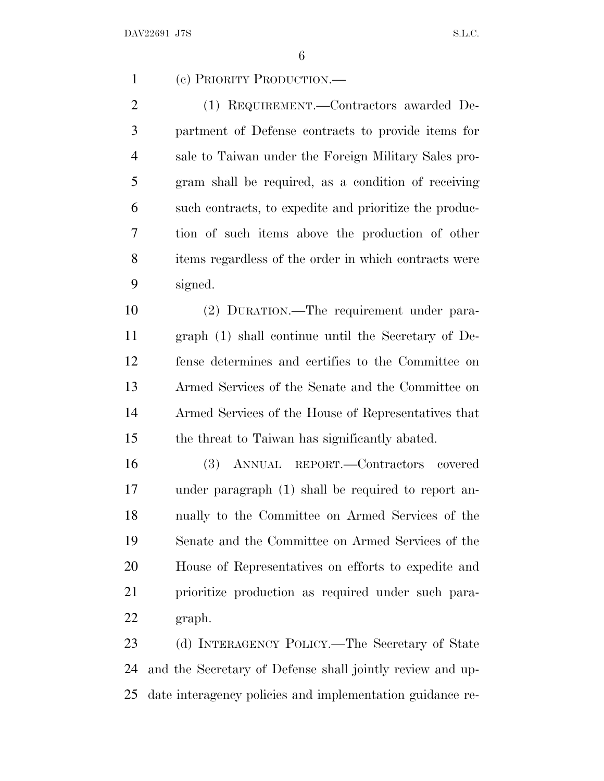(c) PRIORITY PRODUCTION.— (1) REQUIREMENT.—Contractors awarded De- partment of Defense contracts to provide items for sale to Taiwan under the Foreign Military Sales pro- gram shall be required, as a condition of receiving such contracts, to expedite and prioritize the produc- tion of such items above the production of other items regardless of the order in which contracts were signed. (2) DURATION.—The requirement under para- graph (1) shall continue until the Secretary of De- fense determines and certifies to the Committee on Armed Services of the Senate and the Committee on Armed Services of the House of Representatives that the threat to Taiwan has significantly abated. (3) ANNUAL REPORT.—Contractors covered under paragraph (1) shall be required to report an- nually to the Committee on Armed Services of the Senate and the Committee on Armed Services of the House of Representatives on efforts to expedite and prioritize production as required under such para- graph. (d) INTERAGENCY POLICY.—The Secretary of State and the Secretary of Defense shall jointly review and up-date interagency policies and implementation guidance re-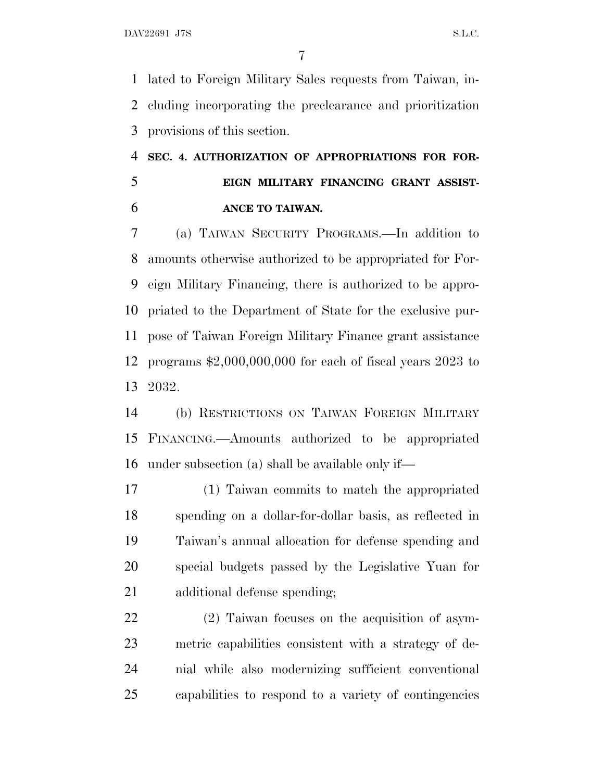lated to Foreign Military Sales requests from Taiwan, in- cluding incorporating the preclearance and prioritization provisions of this section.

## **SEC. 4. AUTHORIZATION OF APPROPRIATIONS FOR FOR- EIGN MILITARY FINANCING GRANT ASSIST-ANCE TO TAIWAN.**

 (a) TAIWAN SECURITY PROGRAMS.—In addition to amounts otherwise authorized to be appropriated for For- eign Military Financing, there is authorized to be appro- priated to the Department of State for the exclusive pur- pose of Taiwan Foreign Military Finance grant assistance programs \$2,000,000,000 for each of fiscal years 2023 to 2032.

 (b) RESTRICTIONS ON TAIWAN FOREIGN MILITARY FINANCING.—Amounts authorized to be appropriated under subsection (a) shall be available only if—

 (1) Taiwan commits to match the appropriated spending on a dollar-for-dollar basis, as reflected in Taiwan's annual allocation for defense spending and special budgets passed by the Legislative Yuan for additional defense spending;

 (2) Taiwan focuses on the acquisition of asym- metric capabilities consistent with a strategy of de- nial while also modernizing sufficient conventional capabilities to respond to a variety of contingencies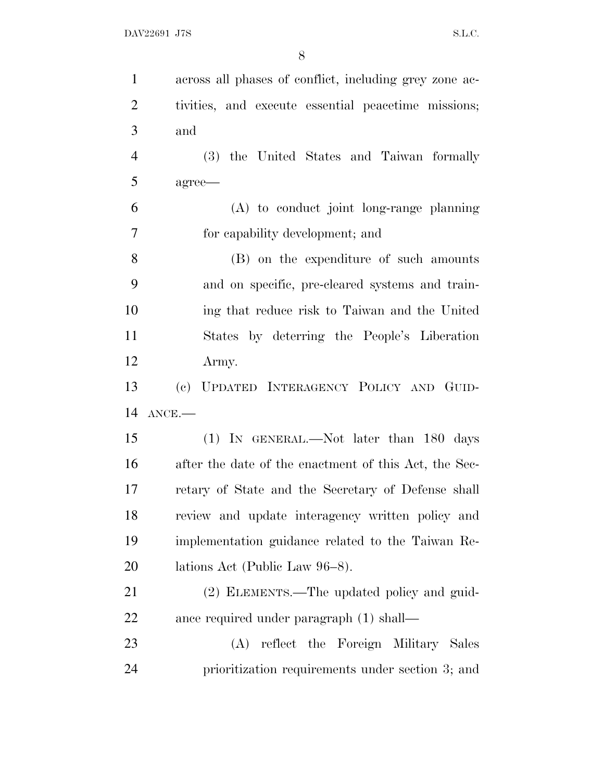| $\mathbf{1}$                | across all phases of conflict, including grey zone ac- |
|-----------------------------|--------------------------------------------------------|
| $\overline{2}$              | tivities, and execute essential peacetime missions;    |
| 3                           | and                                                    |
| $\overline{4}$              | (3) the United States and Taiwan formally              |
| 5                           | agree—                                                 |
| 6                           | $(A)$ to conduct joint long-range planning             |
| 7                           | for capability development; and                        |
| 8                           | (B) on the expenditure of such amounts                 |
| 9                           | and on specific, pre-cleared systems and train-        |
| 10                          | ing that reduce risk to Taiwan and the United          |
| 11                          | States by deterring the People's Liberation            |
| 12                          | Army.                                                  |
|                             |                                                        |
|                             | (c) UPDATED INTERAGENCY POLICY AND GUID-               |
|                             | $ANCE$ .                                               |
| 13<br>14<br>15              | $(1)$ IN GENERAL.—Not later than 180 days              |
| 16                          | after the date of the enactment of this Act, the Sec-  |
|                             | retary of State and the Secretary of Defense shall     |
|                             | review and update interagency written policy and       |
|                             | implementation guidance related to the Taiwan Re-      |
| 17<br>18<br>19<br><b>20</b> | lations Act (Public Law 96–8).                         |
| 21                          | (2) ELEMENTS.—The updated policy and guid-             |
| 22                          | ance required under paragraph (1) shall—               |
| 23                          | (A) reflect the Foreign Military Sales                 |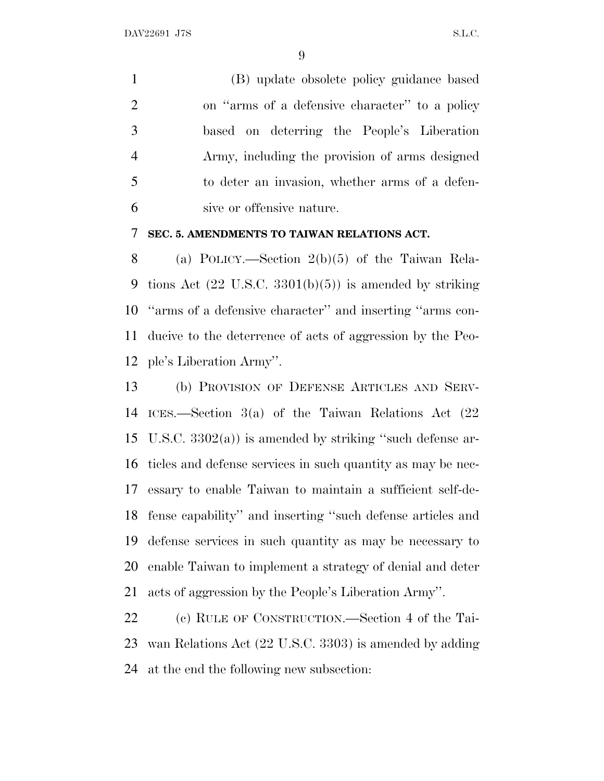(B) update obsolete policy guidance based on ''arms of a defensive character'' to a policy based on deterring the People's Liberation Army, including the provision of arms designed to deter an invasion, whether arms of a defen-sive or offensive nature.

#### **SEC. 5. AMENDMENTS TO TAIWAN RELATIONS ACT.**

 (a) POLICY.—Section 2(b)(5) of the Taiwan Rela-9 tions Act  $(22 \text{ U.S.C. } 3301(b)(5))$  is amended by striking ''arms of a defensive character'' and inserting ''arms con- ducive to the deterrence of acts of aggression by the Peo-ple's Liberation Army''.

 (b) PROVISION OF DEFENSE ARTICLES AND SERV- ICES.—Section 3(a) of the Taiwan Relations Act (22 U.S.C. 3302(a)) is amended by striking ''such defense ar- ticles and defense services in such quantity as may be nec- essary to enable Taiwan to maintain a sufficient self-de- fense capability'' and inserting ''such defense articles and defense services in such quantity as may be necessary to enable Taiwan to implement a strategy of denial and deter acts of aggression by the People's Liberation Army''.

 (c) RULE OF CONSTRUCTION.—Section 4 of the Tai- wan Relations Act (22 U.S.C. 3303) is amended by adding at the end the following new subsection: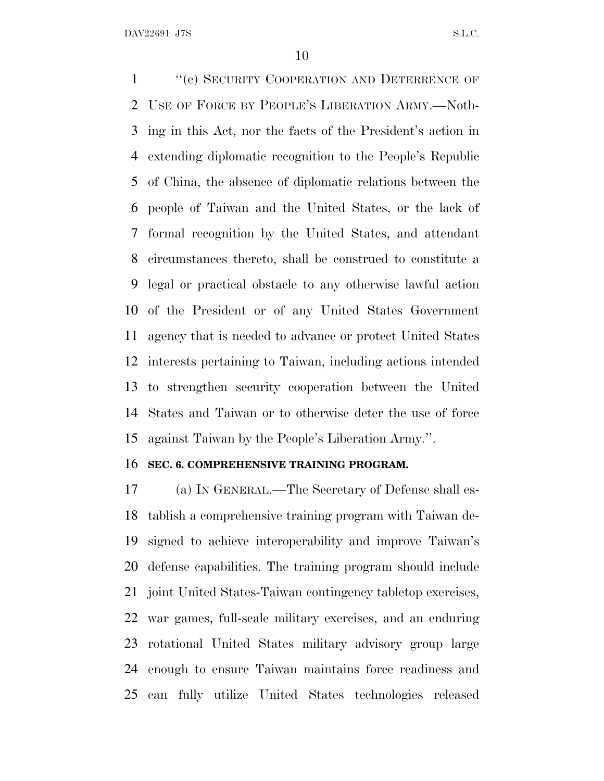1 "(e) SECURITY COOPERATION AND DETERRENCE OF USE OF FORCE BY PEOPLE'<sup>S</sup> LIBERATION ARMY.—Noth- ing in this Act, nor the facts of the President's action in extending diplomatic recognition to the People's Republic of China, the absence of diplomatic relations between the people of Taiwan and the United States, or the lack of formal recognition by the United States, and attendant circumstances thereto, shall be construed to constitute a legal or practical obstacle to any otherwise lawful action of the President or of any United States Government agency that is needed to advance or protect United States interests pertaining to Taiwan, including actions intended to strengthen security cooperation between the United States and Taiwan or to otherwise deter the use of force against Taiwan by the People's Liberation Army.''.

#### **SEC. 6. COMPREHENSIVE TRAINING PROGRAM.**

 (a) I<sup>N</sup> GENERAL.—The Secretary of Defense shall es- tablish a comprehensive training program with Taiwan de- signed to achieve interoperability and improve Taiwan's defense capabilities. The training program should include joint United States-Taiwan contingency tabletop exercises, war games, full-scale military exercises, and an enduring rotational United States military advisory group large enough to ensure Taiwan maintains force readiness and can fully utilize United States technologies released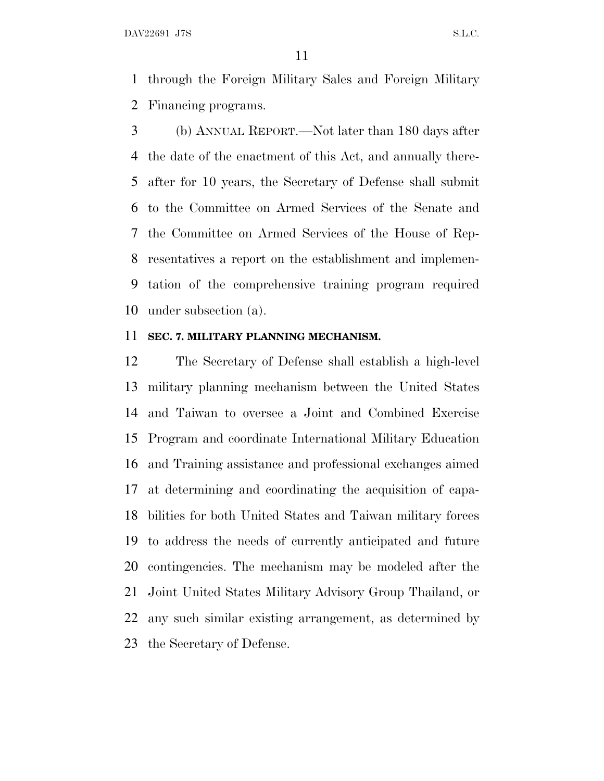through the Foreign Military Sales and Foreign Military Financing programs.

 (b) ANNUAL REPORT.—Not later than 180 days after the date of the enactment of this Act, and annually there- after for 10 years, the Secretary of Defense shall submit to the Committee on Armed Services of the Senate and the Committee on Armed Services of the House of Rep- resentatives a report on the establishment and implemen- tation of the comprehensive training program required under subsection (a).

#### **SEC. 7. MILITARY PLANNING MECHANISM.**

 The Secretary of Defense shall establish a high-level military planning mechanism between the United States and Taiwan to oversee a Joint and Combined Exercise Program and coordinate International Military Education and Training assistance and professional exchanges aimed at determining and coordinating the acquisition of capa- bilities for both United States and Taiwan military forces to address the needs of currently anticipated and future contingencies. The mechanism may be modeled after the Joint United States Military Advisory Group Thailand, or any such similar existing arrangement, as determined by the Secretary of Defense.